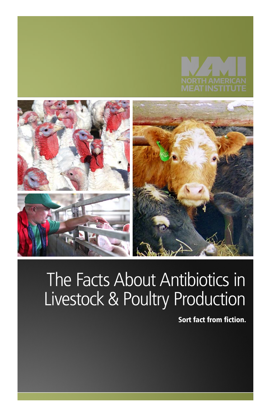



# The Facts About Antibiotics in Livestock & Poultry Production

Sort fact from fiction.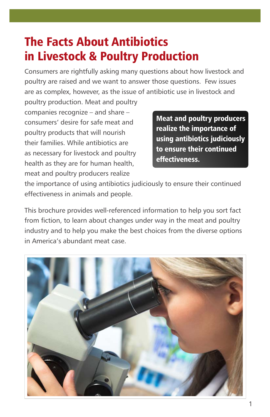## The Facts About Antibiotics in Livestock & Poultry Production

Consumers are rightfully asking many questions about how livestock and poultry are raised and we want to answer those questions. Few issues are as complex, however, as the issue of antibiotic use in livestock and

poultry production. Meat and poultry companies recognize – and share – consumers' desire for safe meat and poultry products that will nourish their families. While antibiotics are as necessary for livestock and poultry health as they are for human health, meat and poultry producers realize

Meat and poultry producers realize the importance of using antibiotics judiciously to ensure their continued effectiveness.

the importance of using antibiotics judiciously to ensure their continued effectiveness in animals and people.

This brochure provides well-referenced information to help you sort fact from fiction, to learn about changes under way in the meat and poultry industry and to help you make the best choices from the diverse options in America's abundant meat case.

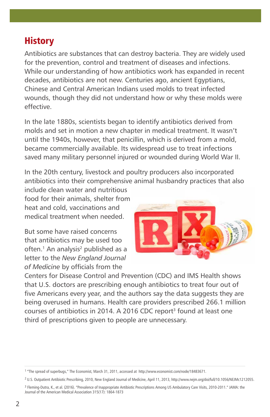## **History**

Antibiotics are substances that can destroy bacteria. They are widely used for the prevention, control and treatment of diseases and infections. While our understanding of how antibiotics work has expanded in recent decades, antibiotics are not new. Centuries ago, ancient Egyptians, Chinese and Central American Indians used molds to treat infected wounds, though they did not understand how or why these molds were effective.

In the late 1880s, scientists began to identify antibiotics derived from molds and set in motion a new chapter in medical treatment. It wasn't until the 1940s, however, that penicillin, which is derived from a mold, became commercially available. Its widespread use to treat infections saved many military personnel injured or wounded during World War II.

In the 20th century, livestock and poultry producers also incorporated antibiotics into their comprehensive animal husbandry practices that also

include clean water and nutritious food for their animals, shelter from heat and cold, vaccinations and medical treatment when needed.

But some have raised concerns that antibiotics may be used too often.<sup>1</sup> An analysis<sup>2</sup> published as a letter to the *New England Journal of Medicine* by officials from the



Centers for Disease Control and Prevention (CDC) and IMS Health shows that U.S. doctors are prescribing enough antibiotics to treat four out of five Americans every year, and the authors say the data suggests they are being overused in humans. Health care providers prescribed 266.1 million courses of antibiotics in 2014. A 2016 CDC report<sup>3</sup> found at least one third of prescriptions given to people are unnecessary.

<sup>1 &</sup>quot;The spread of superbugs," The Economist, March 31, 2011, accessed at http://www.economist.com/node/18483671.

<sup>2</sup> U.S. Outpatient Antibiotic Prescribing, 2010, New England Journal of Medicine, April 11, 2013, http://www.nejm.org/doi/full/10.1056/NEJMc1212055.

<sup>3</sup> Fleming-Dutra, K., et al. (2016). "Prevalence of Inappropriate Antibiotic Prescriptions Among US Ambulatory Care Visits, 2010-2011." JAMA: the Journal of the American Medical Association 315(17): 1864-1873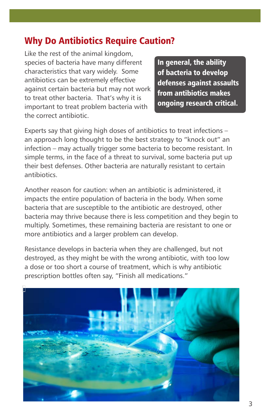#### Why Do Antibiotics Require Caution?

Like the rest of the animal kingdom, species of bacteria have many different characteristics that vary widely. Some antibiotics can be extremely effective against certain bacteria but may not work to treat other bacteria. That's why it is important to treat problem bacteria with the correct antibiotic.

In general, the ability of bacteria to develop defenses against assaults from antibiotics makes ongoing research critical.

Experts say that giving high doses of antibiotics to treat infections – an approach long thought to be the best strategy to "knock out" an infection – may actually trigger some bacteria to become resistant. In simple terms, in the face of a threat to survival, some bacteria put up their best defenses. Other bacteria are naturally resistant to certain antibiotics.

Another reason for caution: when an antibiotic is administered, it impacts the entire population of bacteria in the body. When some bacteria that are susceptible to the antibiotic are destroyed, other bacteria may thrive because there is less competition and they begin to multiply. Sometimes, these remaining bacteria are resistant to one or more antibiotics and a larger problem can develop.

Resistance develops in bacteria when they are challenged, but not destroyed, as they might be with the wrong antibiotic, with too low a dose or too short a course of treatment, which is why antibiotic prescription bottles often say, "Finish all medications."

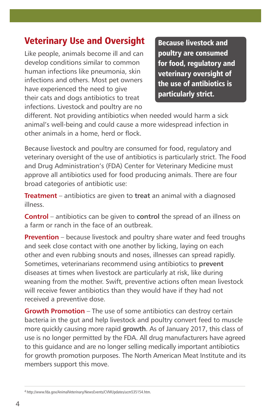## Veterinary Use and Oversight

Like people, animals become ill and can develop conditions similar to common human infections like pneumonia, skin infections and others. Most pet owners have experienced the need to give their cats and dogs antibiotics to treat infections. Livestock and poultry are no

Because livestock and poultry are consumed for food, regulatory and veterinary oversight of the use of antibiotics is particularly strict.

different. Not providing antibiotics when needed would harm a sick animal's well-being and could cause a more widespread infection in other animals in a home, herd or flock.

Because livestock and poultry are consumed for food, regulatory and veterinary oversight of the use of antibiotics is particularly strict. The Food and Drug Administration's (FDA) Center for Veterinary Medicine must approve all antibiotics used for food producing animals. There are four broad categories of antibiotic use:

**Treatment** – antibiotics are given to **treat** an animal with a diagnosed illness.

**Control** – antibiotics can be given to **control** the spread of an illness on a farm or ranch in the face of an outbreak.

**Prevention** – because livestock and poultry share water and feed troughs and seek close contact with one another by licking, laying on each other and even rubbing snouts and noses, illnesses can spread rapidly. Sometimes, veterinarians recommend using antibiotics to **prevent**  diseases at times when livestock are particularly at risk, like during weaning from the mother. Swift, preventive actions often mean livestock will receive fewer antibiotics than they would have if they had not received a preventive dose.

**Growth Promotion** – The use of some antibiotics can destroy certain bacteria in the gut and help livestock and poultry convert feed to muscle more quickly causing more rapid **growth**. As of January 2017, this class of use is no longer permitted by the FDA. All drug manufacturers have agreed to this guidance and are no longer selling medically important antibiotics for growth promotion purposes. The North American Meat Institute and its members support this move.

<sup>4</sup> http://www.fda.gov/AnimalVeterinary/NewsEvents/CVMUpdates/ucm535154.htm.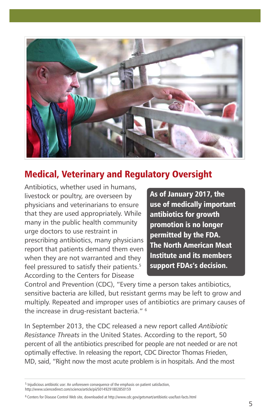

## Medical, Veterinary and Regulatory Oversight

Antibiotics, whether used in humans, livestock or poultry, are overseen by physicians and veterinarians to ensure that they are used appropriately. While many in the public health community urge doctors to use restraint in prescribing antibiotics, many physicians report that patients demand them even when they are not warranted and they feel pressured to satisfy their patients.<sup>5</sup> According to the Centers for Disease

As of January 2017, the use of medically important antibiotics for growth promotion is no longer permitted by the FDA. The North American Meat Institute and its members support FDAs's decision.

Control and Prevention (CDC), "Every time a person takes antibiotics, sensitive bacteria are killed, but resistant germs may be left to grow and multiply. Repeated and improper uses of antibiotics are primary causes of the increase in drug-resistant bacteria." 6

In September 2013, the CDC released a new report called *Antibiotic Resistance Threats* in the United States. According to the report, 50 percent of all the antibiotics prescribed for people are not needed or are not optimally effective. In releasing the report, CDC Director Thomas Frieden, MD, said, "Right now the most acute problem is in hospitals. And the most

<sup>5</sup> Injudicious antibiotic use: An unforeseen consequence of the emphasis on patient satisfaction, http://www.sciencedirect.com/science/article/pii/S0149291802850159

<sup>6</sup> Centers for Disease Control Web site, downloaded at http://www.cdc.gov/getsmart/antibiotic-use/fast-facts.html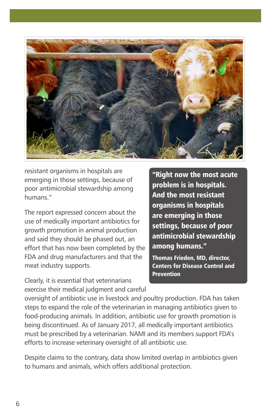

resistant organisms in hospitals are emerging in those settings, because of poor antimicrobial stewardship among humans."

The report expressed concern about the use of medically important antibiotics for growth promotion in animal production and said they should be phased out, an effort that has now been completed by the FDA and drug manufacturers and that the meat industry supports.

Clearly, it is essential that veterinarians exercise their medical judgment and careful

"Right now the most acute problem is in hospitals. And the most resistant organisms in hospitals are emerging in those settings, because of poor antimicrobial stewardship among humans."

Thomas Frieden, MD, director, Centers for Disease Control and **Prevention** 

oversight of antibiotic use in livestock and poultry production. FDA has taken steps to expand the role of the veterinarian in managing antibiotics given to food-producing animals. In addition, antibiotic use for growth promotion is being discontinued. As of January 2017, all medically important antibiotics must be prescribed by a veterinarian. NAMI and its members support FDA's efforts to increase veterinary oversight of all antibiotic use.

Despite claims to the contrary, data show limited overlap in antibiotics given to humans and animals, which offers additional protection.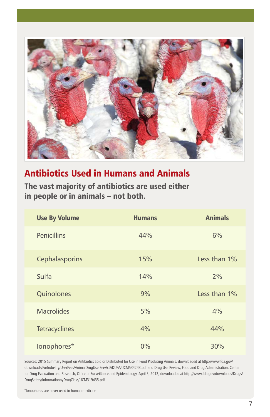

### Antibiotics Used in Humans and Animals

The vast majority of antibiotics are used either in people or in animals – not both.

| <b>Use By Volume</b> | <b>Humans</b> | <b>Animals</b> |
|----------------------|---------------|----------------|
| <b>Penicillins</b>   | 44%           | 6%             |
| Cephalasporins       | 15%           | Less than 1%   |
| Sulfa                | 14%           | 2%             |
| Quinolones           | 9%            | Less than 1%   |
| <b>Macrolides</b>    | 5%            | 4%             |
| <b>Tetracyclines</b> | 4%            | 44%            |
| lonophores*          | 0%            | 30%            |

Sources: 2015 Summary Report on Antibiotics Sold or Distributed for Use in Food Producing Animals, downloaded at http://www.fda.gov/ downloads/ForIndustry/UserFees/AnimalDrugUserFeeActADUFA/UCM534243.pdf and Drug Use Review, Food and Drug Administration, Center for Drug Evaluation and Research, Office of Surveillance and Epidemiology, April 5, 2012, downloaded at http://www.fda.gov/downloads/Drugs/ DrugSafety/InformationbyDrugClass/UCM319435.pdf

\*Ionophores are never used in human medicine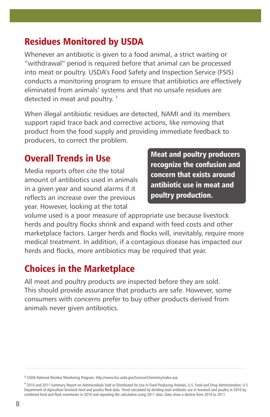## Residues Monitored by USDA

Whenever an antibiotic is given to a food animal, a strict waiting or "withdrawal" period is required before that animal can be processed into meat or poultry. USDA's Food Safety and Inspection Service (FSIS) conducts a monitoring program to ensure that antibiotics are effectively eliminated from animals' systems and that no unsafe residues are detected in meat and poultry.<sup>7</sup>

When illegal antibiotic residues are detected, NAMI and its members support rapid trace back and corrective actions, like removing that product from the food supply and providing immediate feedback to producers, to correct the problem.

## Overall Trends in Use

Media reports often cite the total amount of antibiotics used in animals in a given year and sound alarms if it reflects an increase over the previous year. However, looking at the total

Meat and poultry producers recognize the confusion and concern that exists around antibiotic use in meat and poultry production.

volume used is a poor measure of appropriate use because livestock herds and poultry flocks shrink and expand with feed costs and other marketplace factors. Larger herds and flocks will, inevitably, require more medical treatment. In addition, if a contagious disease has impacted our herds and flocks, more antibiotics may be required that year.

## Choices in the Marketplace

All meat and poultry products are inspected before they are sold. This should provide assurance that products are safe. However, some consumers with concerns prefer to buy other products derived from animals never given antibiotics.

<sup>6</sup> USDA National Residue Monitoring Program, http://www.fsis.usda.gov/Science/Chemistry/index.asp

<sup>\* 2010</sup> and 2011 Summary Report on Antimicrobials Sold or Distributed for Use in Food Producing Animals, U.S. Food and Drug Administration; U.S. Department of Agriculture livestock herd and poultry flock data. Trend calculated by dividing total antibiotic use in livestock and poultry in 2010 by combined herd and flock inventories in 2010 and repeating the calculation using 2011 data. Data show a decline from 2010 to 2011.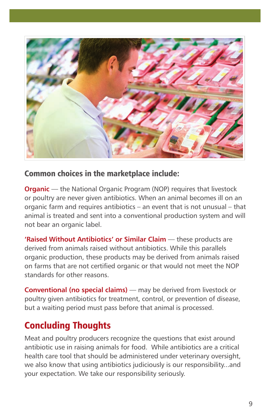

#### Common choices in the marketplace include:

**Organic** — the National Organic Program (NOP) requires that livestock or poultry are never given antibiotics. When an animal becomes ill on an organic farm and requires antibiotics – an event that is not unusual – that animal is treated and sent into a conventional production system and will not bear an organic label.

**'Raised Without Antibiotics' or Similar Claim** — these products are derived from animals raised without antibiotics. While this parallels organic production, these products may be derived from animals raised on farms that are not certified organic or that would not meet the NOP standards for other reasons.

**Conventional (no special claims)** — may be derived from livestock or poultry given antibiotics for treatment, control, or prevention of disease, but a waiting period must pass before that animal is processed.

## Concluding Thoughts

Meat and poultry producers recognize the questions that exist around antibiotic use in raising animals for food. While antibiotics are a critical health care tool that should be administered under veterinary oversight, we also know that using antibiotics judiciously is our responsibility...and your expectation. We take our responsibility seriously.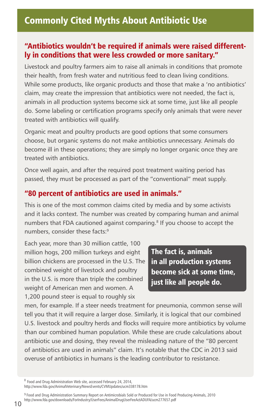#### "Antibiotics wouldn't be required if animals were raised differently in conditions that were less crowded or more sanitary."

Livestock and poultry farmers aim to raise all animals in conditions that promote their health, from fresh water and nutritious feed to clean living conditions. While some products, like organic products and those that make a 'no antibiotics' claim, may create the impression that antibiotics were not needed, the fact is, animals in all production systems become sick at some time, just like all people do. Some labeling or certification programs specify only animals that were never treated with antibiotics will qualify.

Organic meat and poultry products are good options that some consumers choose, but organic systems do not make antibiotics unnecessary. Animals do become ill in these operations; they are simply no longer organic once they are treated with antibiotics.

Once well again, and after the required post treatment waiting period has passed, they must be processed as part of the "conventional" meat supply.

#### "80 percent of antibiotics are used in animals."

This is one of the most common claims cited by media and by some activists and it lacks context. The number was created by comparing human and animal numbers that FDA cautioned against comparing.<sup>8</sup> If you choose to accept the numbers, consider these facts:<sup>9</sup>

Each year, more than 30 million cattle, 100 million hogs, 200 million turkeys and eight billion chickens are processed in the U.S. The combined weight of livestock and poultry in the U.S. is more than triple the combined weight of American men and women. A 1,200 pound steer is equal to roughly six

The fact is, animals in all production systems become sick at some time, just like all people do.

men, for example. If a steer needs treatment for pneumonia, common sense will tell you that it will require a larger dose. Similarly, it is logical that our combined U.S. livestock and poultry herds and flocks will require more antibiotics by volume than our combined human population. While these are crude calculations about antibiotic use and dosing, they reveal the misleading nature of the "80 percent of antibiotics are used in animals" claim. It's notable that the CDC in 2013 said overuse of antibiotics in humans is the leading contributor to resistance.

<sup>8</sup> Food and Drug Administration Web site, accessed February 24, 2014, http://www.fda.gov/AnimalVeterinary/NewsEvents/CVMUpdates/ucm338178.htm

9 Food and Drug Administration Summary Report on Antimicrobials Sold or Produced for Use in Food Producing Animals, 2010 http://www.fda.gov/downloads/ForIndustry/UserFees/AnimalDrugUserFeeActADUFA/ucm277657.pdf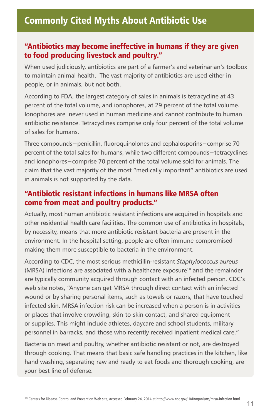#### "Antibiotics may become ineffective in humans if they are given to food producing livestock and poultry."

When used judiciously, antibiotics are part of a farmer's and veterinarian's toolbox to maintain animal health. The vast majority of antibiotics are used either in people, or in animals, but not both.

According to FDA, the largest category of sales in animals is tetracycline at 43 percent of the total volume, and ionophores, at 29 percent of the total volume. Ionophores are never used in human medicine and cannot contribute to human antibiotic resistance. Tetracyclines comprise only four percent of the total volume of sales for humans.

Three compounds−penicillin, fluoroquinolones and cephalosporins−comprise 70 percent of the total sales for humans, while two different compounds−tetracyclines and ionophores−comprise 70 percent of the total volume sold for animals. The claim that the vast majority of the most "medically important" antibiotics are used in animals is not supported by the data.

#### "Antibiotic resistant infections in humans like MRSA often come from meat and poultry products."

Actually, most human antibiotic resistant infections are acquired in hospitals and other residential health care facilities. The common use of antibiotics in hospitals, by necessity, means that more antibiotic resistant bacteria are present in the environment. In the hospital setting, people are often immune-compromised making them more susceptible to bacteria in the environment.

According to CDC, the most serious methicillin-resistant *Staphylococcus aureus* (MRSA) infections are associated with a healthcare exposure<sup>10</sup> and the remainder are typically community acquired through contact with an infected person. CDC's web site notes, "Anyone can get MRSA through direct contact with an infected wound or by sharing personal items, such as towels or razors, that have touched infected skin. MRSA infection risk can be increased when a person is in activities or places that involve crowding, skin-to-skin contact, and shared equipment or supplies. This might include athletes, daycare and school students, military personnel in barracks, and those who recently received inpatient medical care."

Bacteria on meat and poultry, whether antibiotic resistant or not, are destroyed through cooking. That means that basic safe handling practices in the kitchen, like hand washing, separating raw and ready to eat foods and thorough cooking, are your best line of defense.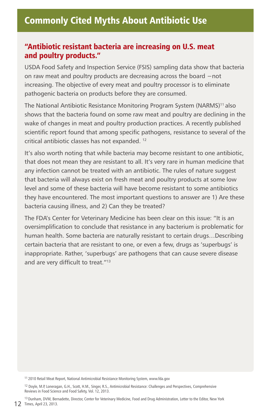#### "Antibiotic resistant bacteria are increasing on U.S. meat and poultry products."

USDA Food Safety and Inspection Service (FSIS) sampling data show that bacteria on raw meat and poultry products are decreasing across the board −not increasing. The objective of every meat and poultry processor is to eliminate pathogenic bacteria on products before they are consumed.

The National Antibiotic Resistance Monitoring Program System (NARMS)<sup>11</sup> also shows that the bacteria found on some raw meat and poultry are declining in the wake of changes in meat and poultry production practices. A recently published scientific report found that among specific pathogens, resistance to several of the critical antibiotic classes has not expanded. 12

It's also worth noting that while bacteria may become resistant to one antibiotic, that does not mean they are resistant to all. It's very rare in human medicine that any infection cannot be treated with an antibiotic. The rules of nature suggest that bacteria will always exist on fresh meat and poultry products at some low level and some of these bacteria will have become resistant to some antibiotics they have encountered. The most important questions to answer are 1) Are these bacteria causing illness, and 2) Can they be treated?

The FDA's Center for Veterinary Medicine has been clear on this issue: "It is an oversimplification to conclude that resistance in any bacterium is problematic for human health. Some bacteria are naturally resistant to certain drugs…Describing certain bacteria that are resistant to one, or even a few, drugs as 'superbugs' is inappropriate. Rather, 'superbugs' are pathogens that can cause severe disease and are very difficult to treat."13

<sup>11</sup> 2010 Retail Meat Report, National Antimicrobial Resistance Monitoring System, www.fda.gov

<sup>12</sup> Doyle, M.P, Loneragan, G.H., Scott, H.M., Singer, R.S., Antimicrobial Resistance: Challenges and Perspectives, Comprehensive Reviews in Food Science and Food Safety, Vol. 12, 2013.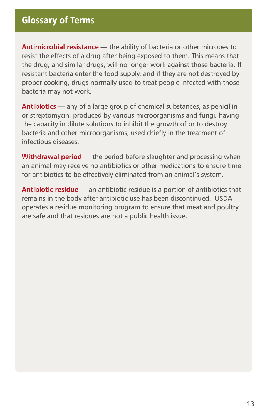#### Glossary of Terms

**Antimicrobial resistance** — the ability of bacteria or other microbes to resist the effects of a drug after being exposed to them. This means that the drug, and similar drugs, will no longer work against those bacteria. If resistant bacteria enter the food supply, and if they are not destroyed by proper cooking, drugs normally used to treat people infected with those bacteria may not work.

**Antibiotics** — any of a large group of chemical substances, as penicillin or streptomycin, produced by various microorganisms and fungi, having the capacity in dilute solutions to inhibit the growth of or to destroy bacteria and other microorganisms, used chiefly in the treatment of infectious diseases.

**Withdrawal period** — the period before slaughter and processing when an animal may receive no antibiotics or other medications to ensure time for antibiotics to be effectively eliminated from an animal's system.

**Antibiotic residue** — an antibiotic residue is a portion of antibiotics that remains in the body after antibiotic use has been discontinued. USDA operates a residue monitoring program to ensure that meat and poultry are safe and that residues are not a public health issue.